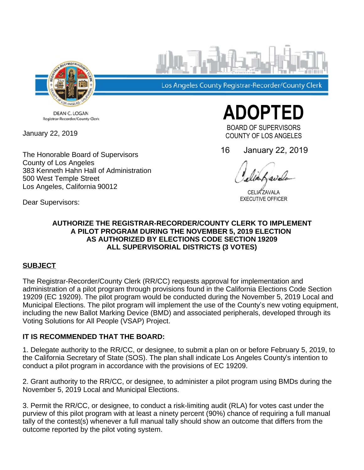

Los Angeles County Registrar-Recorder/County Clerk

DEAN C. LOGAN Registrar-Recorder/County Clerk

January 22, 2019

The Honorable Board of Supervisors County of Los Angeles 383 Kenneth Hahn Hall of Administration 500 West Temple Street Los Angeles, California 90012

**ADOPTED** 

BOARD OF SUPERVISORS COUNTY OF LOS ANGELES

16 January 22, 2019

CELIA ZAVALA EXECUTIVE OFFICER

Dear Supervisors:

### **AUTHORIZE THE REGISTRAR-RECORDER/COUNTY CLERK TO IMPLEMENT A PILOT PROGRAM DURING THE NOVEMBER 5, 2019 ELECTION AS AUTHORIZED BY ELECTIONS CODE SECTION 19209 ALL SUPERVISORIAL DISTRICTS (3 VOTES)**

# **SUBJECT**

The Registrar-Recorder/County Clerk (RR/CC) requests approval for implementation and administration of a pilot program through provisions found in the California Elections Code Section 19209 (EC 19209). The pilot program would be conducted during the November 5, 2019 Local and Municipal Elections. The pilot program will implement the use of the County's new voting equipment, including the new Ballot Marking Device (BMD) and associated peripherals, developed through its Voting Solutions for All People (VSAP) Project.

# **IT IS RECOMMENDED THAT THE BOARD:**

1. Delegate authority to the RR/CC, or designee, to submit a plan on or before February 5, 2019, to the California Secretary of State (SOS). The plan shall indicate Los Angeles County's intention to conduct a pilot program in accordance with the provisions of EC 19209.

2. Grant authority to the RR/CC, or designee, to administer a pilot program using BMDs during the November 5, 2019 Local and Municipal Elections.

3. Permit the RR/CC, or designee, to conduct a risk-limiting audit (RLA) for votes cast under the purview of this pilot program with at least a ninety percent (90%) chance of requiring a full manual tally of the contest(s) whenever a full manual tally should show an outcome that differs from the outcome reported by the pilot voting system.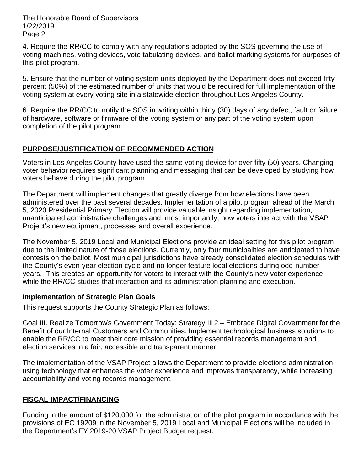The Honorable Board of Supervisors 1/22/2019 Page 2

4. Require the RR/CC to comply with any regulations adopted by the SOS governing the use of voting machines, voting devices, vote tabulating devices, and ballot marking systems for purposes of this pilot program.

5. Ensure that the number of voting system units deployed by the Department does not exceed fifty percent (50%) of the estimated number of units that would be required for full implementation of the voting system at every voting site in a statewide election throughout Los Angeles County.

6. Require the RR/CC to notify the SOS in writing within thirty (30) days of any defect, fault or failure of hardware, software or firmware of the voting system or any part of the voting system upon completion of the pilot program.

## **PURPOSE/JUSTIFICATION OF RECOMMENDED ACTION**

Voters in Los Angeles County have used the same voting device for over fifty (50) years. Changing voter behavior requires significant planning and messaging that can be developed by studying how voters behave during the pilot program.

The Department will implement changes that greatly diverge from how elections have been administered over the past several decades. Implementation of a pilot program ahead of the March 5, 2020 Presidential Primary Election will provide valuable insight regarding implementation, unanticipated administrative challenges and, most importantly, how voters interact with the VSAP Project's new equipment, processes and overall experience.

The November 5, 2019 Local and Municipal Elections provide an ideal setting for this pilot program due to the limited nature of those elections. Currently, only four municipalities are anticipated to have contests on the ballot. Most municipal jurisdictions have already consolidated election schedules with the County's even-year election cycle and no longer feature local elections during odd-number years. This creates an opportunity for voters to interact with the County's new voter experience while the RR/CC studies that interaction and its administration planning and execution.

#### **Implementation of Strategic Plan Goals**

This request supports the County Strategic Plan as follows:

Goal III. Realize Tomorrow's Government Today: Strategy III.2 - Embrace Digital Government for the Benefit of our Internal Customers and Communities. Implement technological business solutions to enable the RR/CC to meet their core mission of providing essential records management and election services in a fair, accessible and transparent manner.

The implementation of the VSAP Project allows the Department to provide elections administration using technology that enhances the voter experience and improves transparency, while increasing accountability and voting records management.

#### **FISCAL IMPACT/FINANCING**

Funding in the amount of \$120,000 for the administration of the pilot program in accordance with the provisions of EC 19209 in the November 5, 2019 Local and Municipal Elections will be included in the Department's FY 2019-20 VSAP Project Budget request.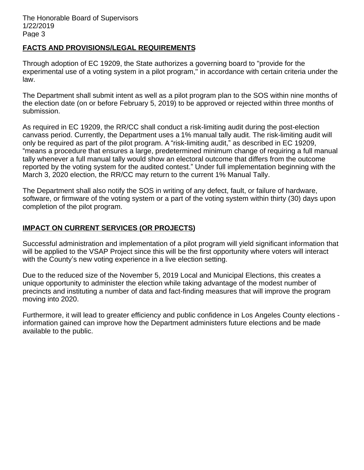### **FACTS AND PROVISIONS/LEGAL REQUIREMENTS**

Through adoption of EC 19209, the State authorizes a governing board to "provide for the experimental use of a voting system in a pilot program," in accordance with certain criteria under the law.

The Department shall submit intent as well as a pilot program plan to the SOS within nine months of the election date (on or before February 5, 2019) to be approved or rejected within three months of submission.

As required in EC 19209, the RR/CC shall conduct a risk-limiting audit during the post-election canvass period. Currently, the Department uses a 1% manual tally audit. The risk-limiting audit will only be required as part of the pilot program. A "risk-limiting audit," as described in EC 19209, ³means a procedure that ensures a large, predetermined minimum change of requiring a full manual tally whenever a full manual tally would show an electoral outcome that differs from the outcome reported by the voting system for the audited contest." Under full implementation beginning with the March 3, 2020 election, the RR/CC may return to the current 1% Manual Tally.

The Department shall also notify the SOS in writing of any defect, fault, or failure of hardware, software, or firmware of the voting system or a part of the voting system within thirty (30) days upon completion of the pilot program.

## **IMPACT ON CURRENT SERVICES (OR PROJECTS)**

Successful administration and implementation of a pilot program will yield significant information that will be applied to the VSAP Project since this will be the first opportunity where voters will interact with the County's new voting experience in a live election setting.

Due to the reduced size of the November 5, 2019 Local and Municipal Elections, this creates a unique opportunity to administer the election while taking advantage of the modest number of precincts and instituting a number of data and fact-finding measures that will improve the program moving into 2020.

Furthermore, it will lead to greater efficiency and public confidence in Los Angeles County elections information gained can improve how the Department administers future elections and be made available to the public.